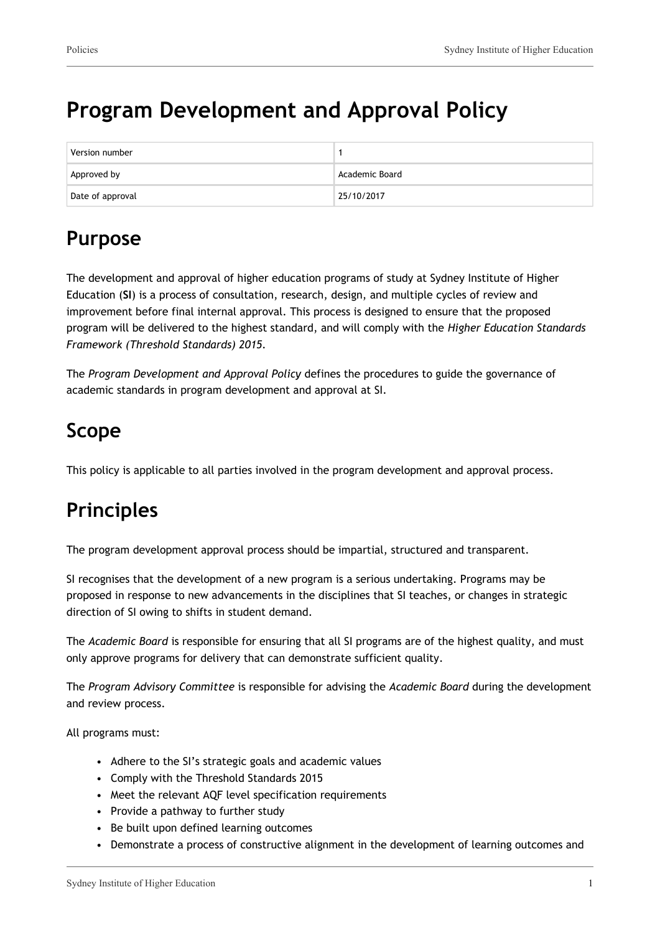# **Program Development and Approval Policy**

| Version number   |                |
|------------------|----------------|
| Approved by      | Academic Board |
| Date of approval | 25/10/2017     |

## **Purpose**

The development and approval of higher education programs of study at Sydney Institute of Higher Education (**SI**) is a process of consultation, research, design, and multiple cycles of review and improvement before final internal approval. This process is designed to ensure that the proposed program will be delivered to the highest standard, and will comply with the *Higher Education Standards Framework (Threshold Standards) 2015.*

The *Program Development and Approval Policy* defines the procedures to guide the governance of academic standards in program development and approval at SI.

# **Scope**

This policy is applicable to all parties involved in the program development and approval process.

# **Principles**

The program development approval process should be impartial, structured and transparent.

SI recognises that the development of a new program is a serious undertaking. Programs may be proposed in response to new advancements in the disciplines that SI teaches, or changes in strategic direction of SI owing to shifts in student demand.

The *Academic Board* is responsible for ensuring that all SI programs are of the highest quality, and must only approve programs for delivery that can demonstrate sufficient quality.

The *Program Advisory Committee* is responsible for advising the *Academic Board* during the development and review process.

All programs must:

- Adhere to the SI's strategic goals and academic values
- Comply with the Threshold Standards 2015
- Meet the relevant AOF level specification requirements
- Provide a pathway to further study
- Be built upon defined learning outcomes
- Demonstrate a process of constructive alignment in the development of learning outcomes and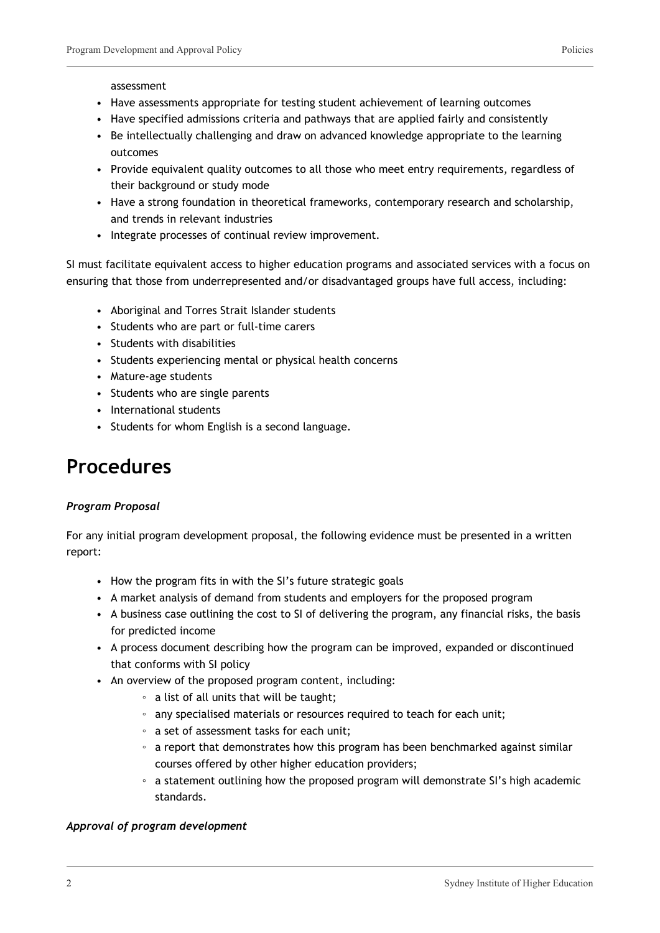#### assessment

- Have assessments appropriate for testing student achievement of learning outcomes
- Have specified admissions criteria and pathways that are applied fairly and consistently
- Be intellectually challenging and draw on advanced knowledge appropriate to the learning outcomes
- Provide equivalent quality outcomes to all those who meet entry requirements, regardless of their background or study mode
- Have a strong foundation in theoretical frameworks, contemporary research and scholarship, and trends in relevant industries
- Integrate processes of continual review improvement.

SI must facilitate equivalent access to higher education programs and associated services with a focus on ensuring that those from underrepresented and/or disadvantaged groups have full access, including:

- Aboriginal and Torres Strait Islander students
- Students who are part or full-time carers
- Students with disabilities
- Students experiencing mental or physical health concerns
- Mature-age students
- Students who are single parents
- International students
- Students for whom English is a second language.

### **Procedures**

### *Program Proposal*

For any initial program development proposal, the following evidence must be presented in a written report:

- How the program fits in with the SI's future strategic goals
- A market analysis of demand from students and employers for the proposed program
- A business case outlining the cost to SI of delivering the program, any financial risks, the basis for predicted income
- A process document describing how the program can be improved, expanded or discontinued that conforms with SI policy
- An overview of the proposed program content, including:
	- a list of all units that will be taught;
	- any specialised materials or resources required to teach for each unit;
	- a set of assessment tasks for each unit;
	- a report that demonstrates how this program has been benchmarked against similar courses offered by other higher education providers;
	- a statement outlining how the proposed program will demonstrate SI's high academic standards.

#### *Approval of program development*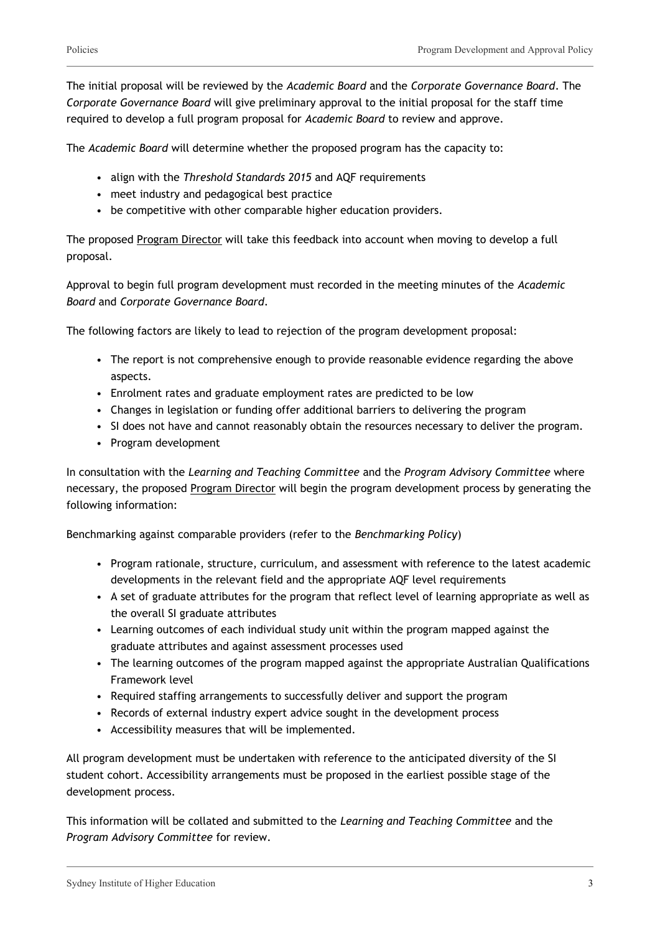The initial proposal will be reviewed by the *Academic Board* and the *Corporate Governance Board*. The *Corporate Governance Board* will give preliminary approval to the initial proposal for the staff time required to develop a full program proposal for *Academic Board* to review and approve.

The *Academic Board* will determine whether the proposed program has the capacity to:

- align with the *Threshold Standards 2015* and AQF requirements
- meet industry and pedagogical best practice
- be competitive with other comparable higher education providers.

The proposed Program Director will take this feedback into account when moving to develop a full proposal.

Approval to begin full program development must recorded in the meeting minutes of the *Academic Board* and *Corporate Governance Board*.

The following factors are likely to lead to rejection of the program development proposal:

- The report is not comprehensive enough to provide reasonable evidence regarding the above aspects.
- Enrolment rates and graduate employment rates are predicted to be low
- Changes in legislation or funding offer additional barriers to delivering the program
- SI does not have and cannot reasonably obtain the resources necessary to deliver the program.
- Program development

In consultation with the *Learning and Teaching Committee* and the *Program Advisory Committee* where necessary, the proposed Program Director will begin the program development process by generating the following information:

Benchmarking against comparable providers (refer to the *Benchmarking Policy*)

- Program rationale, structure, curriculum, and assessment with reference to the latest academic developments in the relevant field and the appropriate AQF level requirements
- A set of graduate attributes for the program that reflect level of learning appropriate as well as the overall SI graduate attributes
- Learning outcomes of each individual study unit within the program mapped against the graduate attributes and against assessment processes used
- The learning outcomes of the program mapped against the appropriate Australian Qualifications Framework level
- Required staffing arrangements to successfully deliver and support the program
- Records of external industry expert advice sought in the development process
- Accessibility measures that will be implemented.

All program development must be undertaken with reference to the anticipated diversity of the SI student cohort. Accessibility arrangements must be proposed in the earliest possible stage of the development process.

This information will be collated and submitted to the *Learning and Teaching Committee* and the *Program Advisory Committee* for review.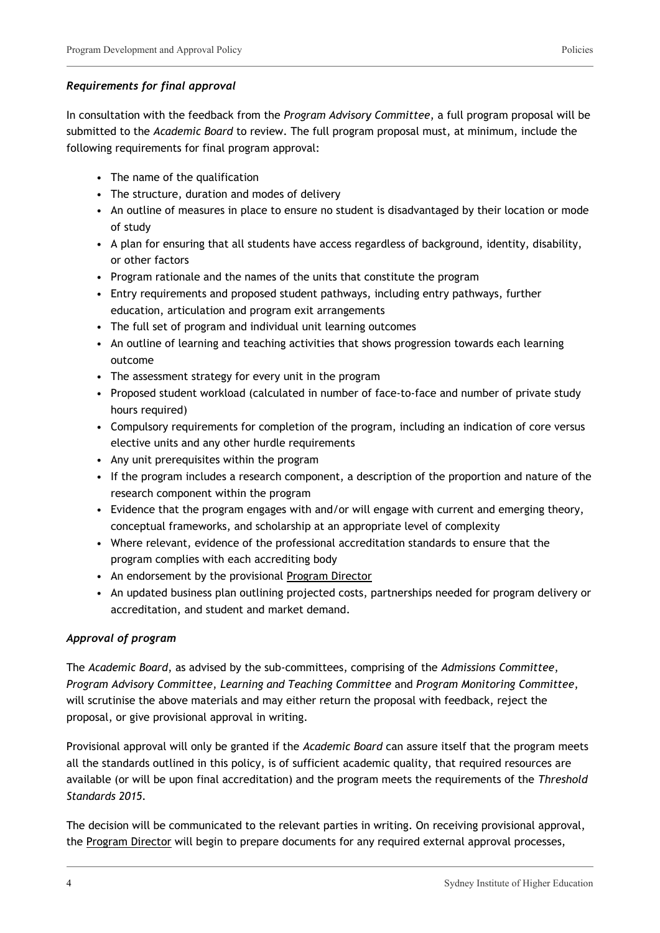### *Requirements for final approval*

In consultation with the feedback from the *Program Advisory Committee*, a full program proposal will be submitted to the *Academic Board* to review. The full program proposal must, at minimum, include the following requirements for final program approval:

- The name of the qualification
- The structure, duration and modes of delivery
- An outline of measures in place to ensure no student is disadvantaged by their location or mode of study
- A plan for ensuring that all students have access regardless of background, identity, disability, or other factors
- Program rationale and the names of the units that constitute the program
- Entry requirements and proposed student pathways, including entry pathways, further education, articulation and program exit arrangements
- The full set of program and individual unit learning outcomes
- An outline of learning and teaching activities that shows progression towards each learning outcome
- The assessment strategy for every unit in the program
- Proposed student workload (calculated in number of face-to-face and number of private study hours required)
- Compulsory requirements for completion of the program, including an indication of core versus elective units and any other hurdle requirements
- Any unit prerequisites within the program
- If the program includes a research component, a description of the proportion and nature of the research component within the program
- Evidence that the program engages with and/or will engage with current and emerging theory, conceptual frameworks, and scholarship at an appropriate level of complexity
- Where relevant, evidence of the professional accreditation standards to ensure that the program complies with each accrediting body
- An endorsement by the provisional Program Director
- An updated business plan outlining projected costs, partnerships needed for program delivery or accreditation, and student and market demand.

### *Approval of program*

The *Academic Board*, as advised by the sub-committees, comprising of the *Admissions Committee*, *Program Advisory Committee*, *Learning and Teaching Committee* and *Program Monitoring Committee*, will scrutinise the above materials and may either return the proposal with feedback, reject the proposal, or give provisional approval in writing.

Provisional approval will only be granted if the *Academic Board* can assure itself that the program meets all the standards outlined in this policy, is of sufficient academic quality, that required resources are available (or will be upon final accreditation) and the program meets the requirements of the *Threshold Standards 2015.*

The decision will be communicated to the relevant parties in writing. On receiving provisional approval, the Program Director will begin to prepare documents for any required external approval processes,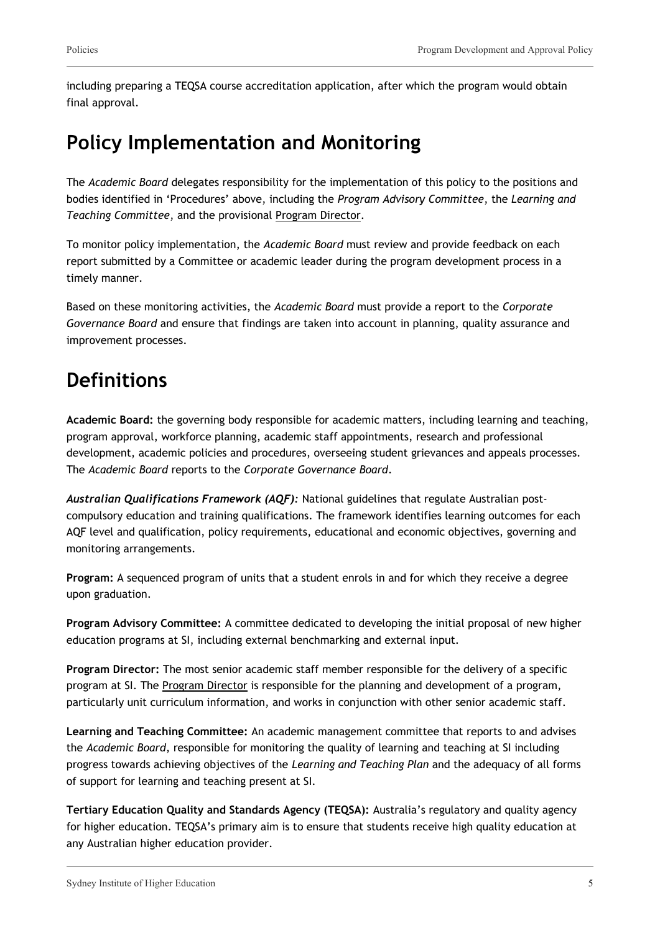including preparing a TEQSA course accreditation application, after which the program would obtain final approval.

## **Policy Implementation and Monitoring**

The *Academic Board* delegates responsibility for the implementation of this policy to the positions and bodies identified in 'Procedures' above, including the *Program Advisory Committee*, the *Learning and Teaching Committee*, and the provisional Program Director.

To monitor policy implementation, the *Academic Board* must review and provide feedback on each report submitted by a Committee or academic leader during the program development process in a timely manner.

Based on these monitoring activities, the *Academic Board* must provide a report to the *Corporate Governance Board* and ensure that findings are taken into account in planning, quality assurance and improvement processes.

## **Definitions**

**Academic Board:** the governing body responsible for academic matters, including learning and teaching, program approval, workforce planning, academic staff appointments, research and professional development, academic policies and procedures, overseeing student grievances and appeals processes. The *Academic Board* reports to the *Corporate Governance Board*.

*Australian Qualifications Framework (AQF):* National guidelines that regulate Australian postcompulsory education and training qualifications. The framework identifies learning outcomes for each AQF level and qualification, policy requirements, educational and economic objectives, governing and monitoring arrangements.

**Program:** A sequenced program of units that a student enrols in and for which they receive a degree upon graduation.

**Program Advisory Committee:** A committee dedicated to developing the initial proposal of new higher education programs at SI, including external benchmarking and external input.

**Program Director:** The most senior academic staff member responsible for the delivery of a specific program at SI. The Program Director is responsible for the planning and development of a program, particularly unit curriculum information, and works in conjunction with other senior academic staff.

**Learning and Teaching Committee:** An academic management committee that reports to and advises the *Academic Board*, responsible for monitoring the quality of learning and teaching at SI including progress towards achieving objectives of the *Learning and Teaching Plan* and the adequacy of all forms of support for learning and teaching present at SI.

**Tertiary Education Quality and Standards Agency (TEQSA):** Australia's regulatory and quality agency for higher education. TEQSA's primary aim is to ensure that students receive high quality education at any Australian higher education provider.